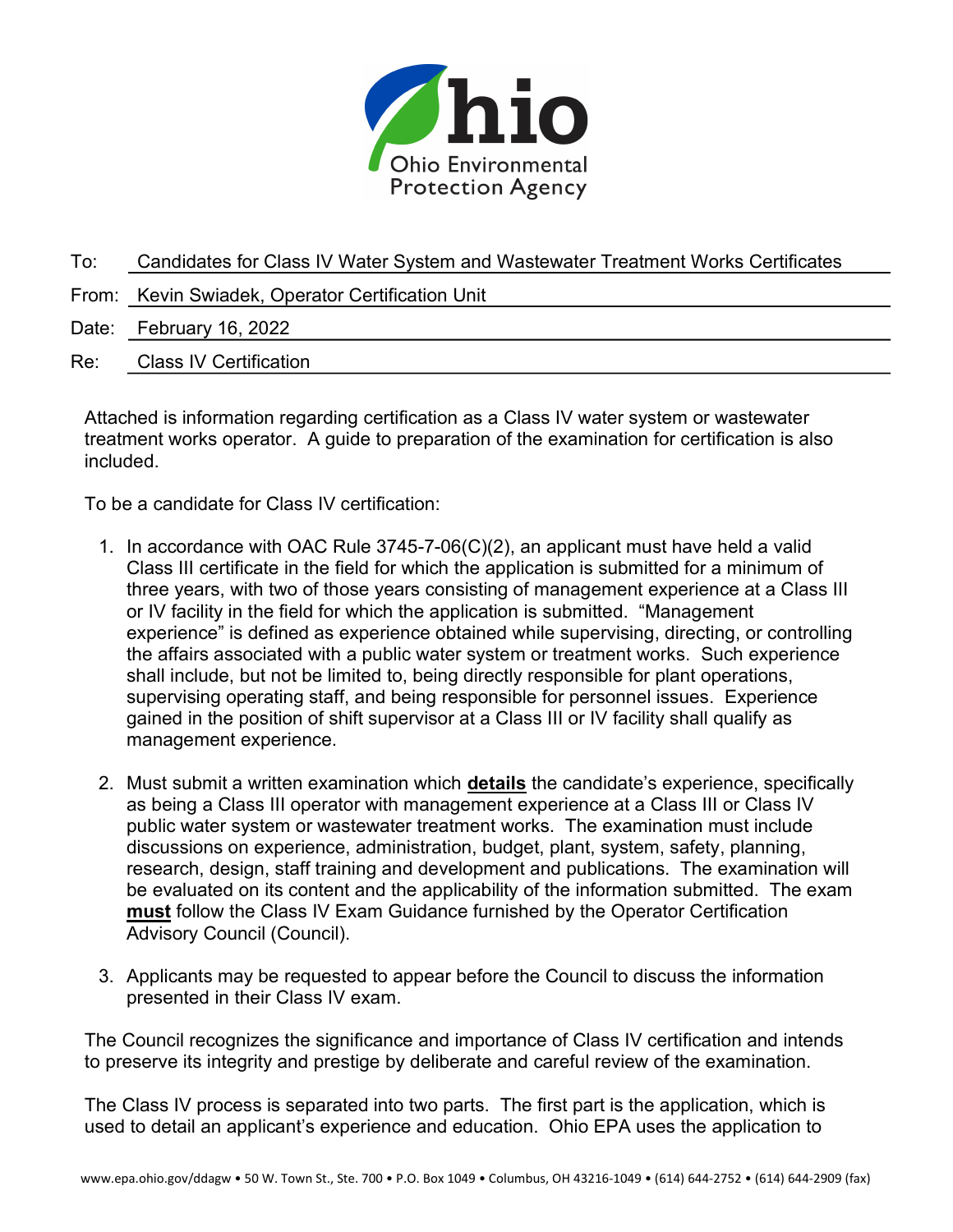

| To: | Candidates for Class IV Water System and Wastewater Treatment Works Certificates |
|-----|----------------------------------------------------------------------------------|
|     | From: Kevin Swiadek, Operator Certification Unit                                 |
|     | Date: February 16, 2022                                                          |
| Re: | <b>Class IV Certification</b>                                                    |

Attached is information regarding certification as a Class IV water system or wastewater treatment works operator. A guide to preparation of the examination for certification is also included.

To be a candidate for Class IV certification:

- 1. In accordance with OAC Rule 3745-7-06(C)(2), an applicant must have held a valid Class III certificate in the field for which the application is submitted for a minimum of three years, with two of those years consisting of management experience at a Class III or IV facility in the field for which the application is submitted. "Management experience" is defined as experience obtained while supervising, directing, or controlling the affairs associated with a public water system or treatment works. Such experience shall include, but not be limited to, being directly responsible for plant operations, supervising operating staff, and being responsible for personnel issues. Experience gained in the position of shift supervisor at a Class III or IV facility shall qualify as management experience.
- 2. Must submit a written examination which **details** the candidate's experience, specifically as being a Class III operator with management experience at a Class III or Class IV public water system or wastewater treatment works. The examination must include discussions on experience, administration, budget, plant, system, safety, planning, research, design, staff training and development and publications. The examination will be evaluated on its content and the applicability of the information submitted. The exam must follow the Class IV Exam Guidance furnished by the Operator Certification Advisory Council (Council).
- 3. Applicants may be requested to appear before the Council to discuss the information presented in their Class IV exam.

The Council recognizes the significance and importance of Class IV certification and intends to preserve its integrity and prestige by deliberate and careful review of the examination.

The Class IV process is separated into two parts. The first part is the application, which is used to detail an applicant's experience and education. Ohio EPA uses the application to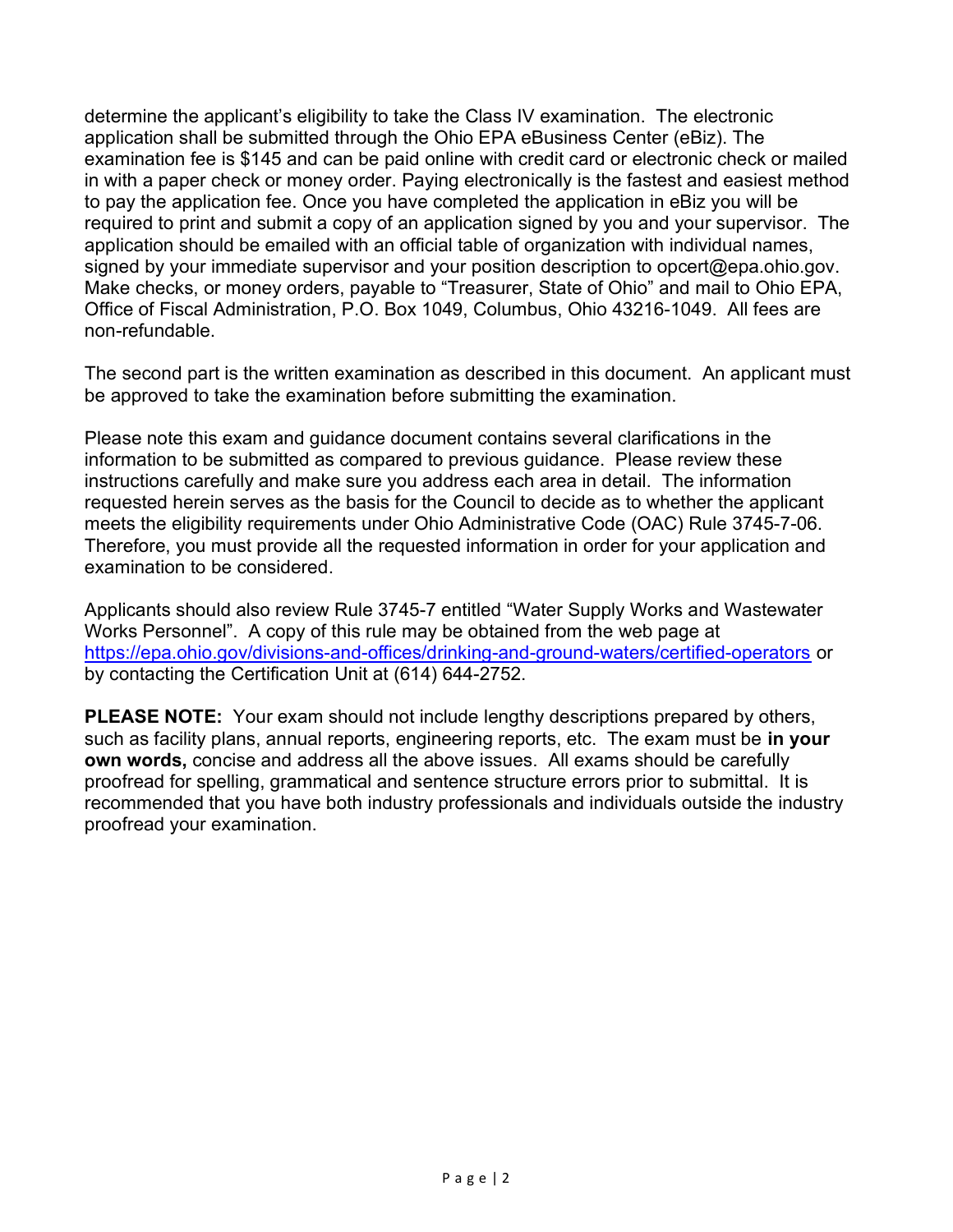determine the applicant's eligibility to take the Class IV examination. The electronic application shall be submitted through the Ohio EPA eBusiness Center (eBiz). The examination fee is \$145 and can be paid online with credit card or electronic check or mailed in with a paper check or money order. Paying electronically is the fastest and easiest method to pay the application fee. Once you have completed the application in eBiz you will be required to print and submit a copy of an application signed by you and your supervisor. The application should be emailed with an official table of organization with individual names, signed by your immediate supervisor and your position description to opcert@epa.ohio.gov. Make checks, or money orders, payable to "Treasurer, State of Ohio" and mail to Ohio EPA, Office of Fiscal Administration, P.O. Box 1049, Columbus, Ohio 43216-1049. All fees are non-refundable.

The second part is the written examination as described in this document. An applicant must be approved to take the examination before submitting the examination.

Please note this exam and guidance document contains several clarifications in the information to be submitted as compared to previous guidance. Please review these instructions carefully and make sure you address each area in detail. The information requested herein serves as the basis for the Council to decide as to whether the applicant meets the eligibility requirements under Ohio Administrative Code (OAC) Rule 3745-7-06. Therefore, you must provide all the requested information in order for your application and examination to be considered.

Applicants should also review Rule 3745-7 entitled "Water Supply Works and Wastewater Works Personnel". A copy of this rule may be obtained from the web page at https://epa.ohio.gov/divisions-and-offices/drinking-and-ground-waters/certified-operators or by contacting the Certification Unit at (614) 644-2752.

PLEASE NOTE: Your exam should not include lengthy descriptions prepared by others, such as facility plans, annual reports, engineering reports, etc. The exam must be in your own words, concise and address all the above issues. All exams should be carefully proofread for spelling, grammatical and sentence structure errors prior to submittal. It is recommended that you have both industry professionals and individuals outside the industry proofread your examination.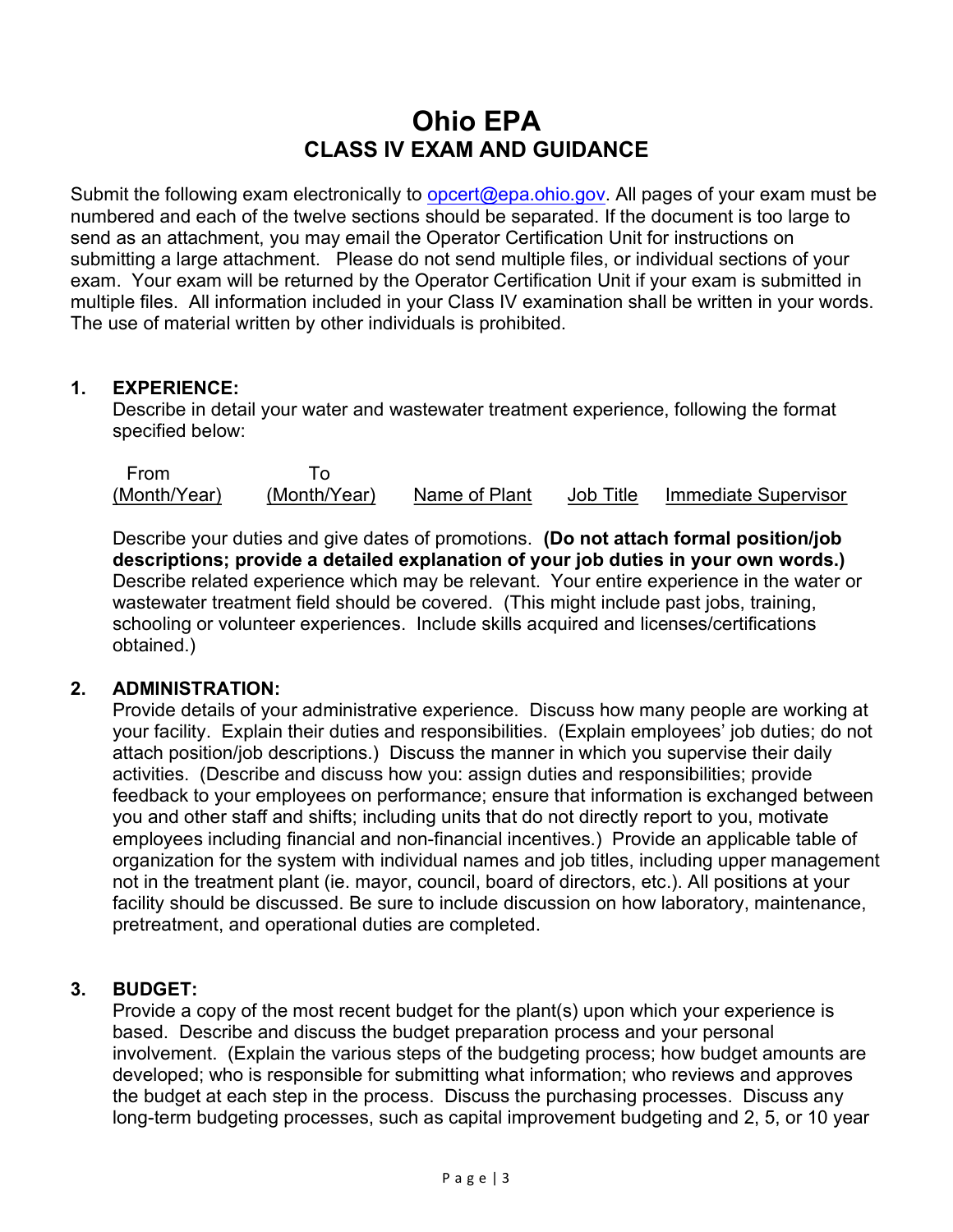# Ohio EPA CLASS IV EXAM AND GUIDANCE

Submit the following exam electronically to opcert@epa.ohio.gov. All pages of your exam must be numbered and each of the twelve sections should be separated. If the document is too large to send as an attachment, you may email the Operator Certification Unit for instructions on submitting a large attachment. Please do not send multiple files, or individual sections of your exam. Your exam will be returned by the Operator Certification Unit if your exam is submitted in multiple files. All information included in your Class IV examination shall be written in your words. The use of material written by other individuals is prohibited.

## 1. EXPERIENCE:

Describe in detail your water and wastewater treatment experience, following the format specified below:

 From To (Month/Year) (Month/Year) Name of Plant Job Title Immediate Supervisor

Describe your duties and give dates of promotions. (Do not attach formal position/job descriptions; provide a detailed explanation of your job duties in your own words.) Describe related experience which may be relevant. Your entire experience in the water or wastewater treatment field should be covered. (This might include past jobs, training, schooling or volunteer experiences. Include skills acquired and licenses/certifications obtained.)

## 2. ADMINISTRATION:

Provide details of your administrative experience. Discuss how many people are working at your facility. Explain their duties and responsibilities. (Explain employees' job duties; do not attach position/job descriptions.) Discuss the manner in which you supervise their daily activities. (Describe and discuss how you: assign duties and responsibilities; provide feedback to your employees on performance; ensure that information is exchanged between you and other staff and shifts; including units that do not directly report to you, motivate employees including financial and non-financial incentives.) Provide an applicable table of organization for the system with individual names and job titles, including upper management not in the treatment plant (ie. mayor, council, board of directors, etc.). All positions at your facility should be discussed. Be sure to include discussion on how laboratory, maintenance, pretreatment, and operational duties are completed.

## 3. BUDGET:

Provide a copy of the most recent budget for the plant(s) upon which your experience is based. Describe and discuss the budget preparation process and your personal involvement. (Explain the various steps of the budgeting process; how budget amounts are developed; who is responsible for submitting what information; who reviews and approves the budget at each step in the process. Discuss the purchasing processes. Discuss any long-term budgeting processes, such as capital improvement budgeting and 2, 5, or 10 year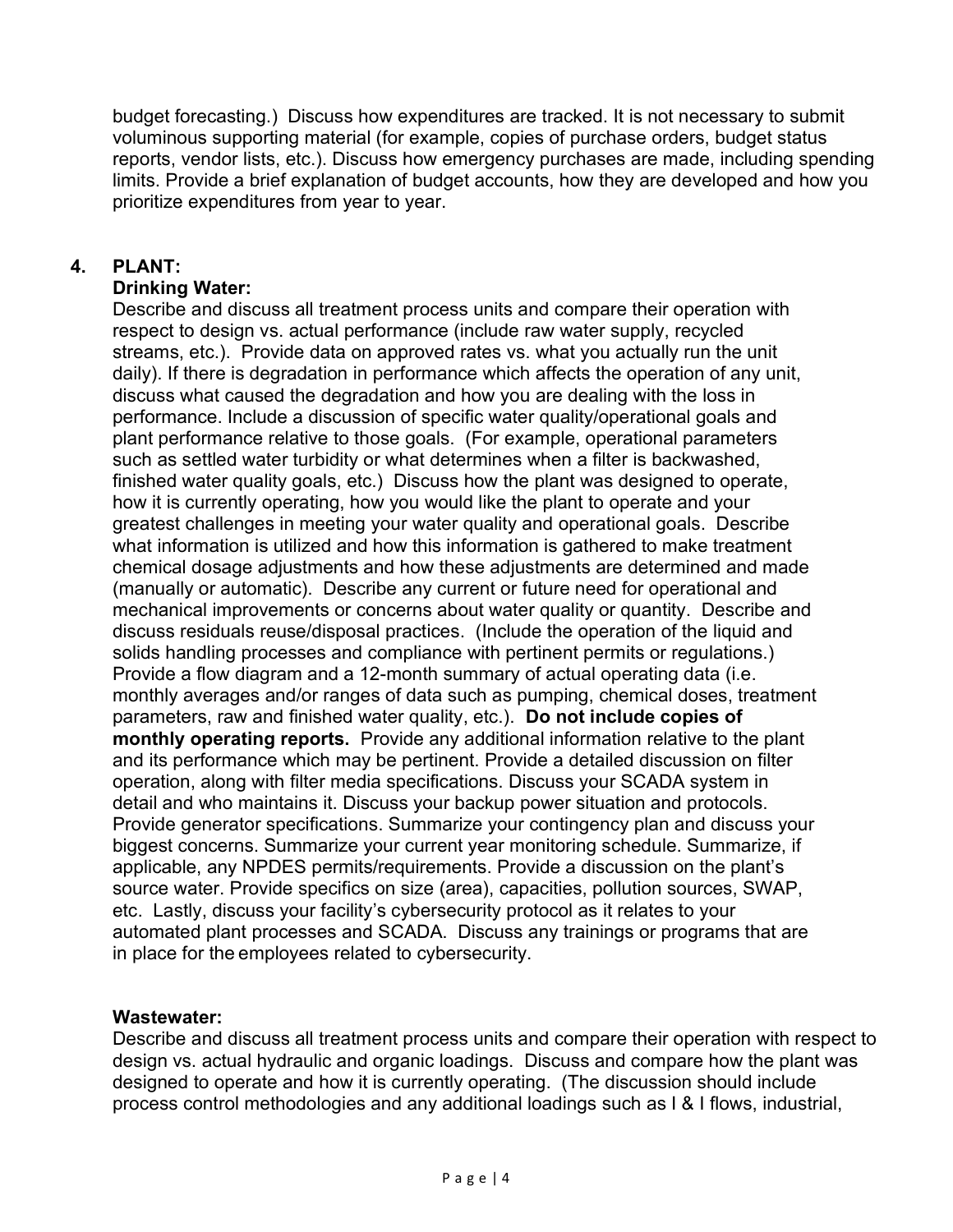budget forecasting.) Discuss how expenditures are tracked. It is not necessary to submit voluminous supporting material (for example, copies of purchase orders, budget status reports, vendor lists, etc.). Discuss how emergency purchases are made, including spending limits. Provide a brief explanation of budget accounts, how they are developed and how you prioritize expenditures from year to year.

## 4. PLANT:

## Drinking Water:

Describe and discuss all treatment process units and compare their operation with respect to design vs. actual performance (include raw water supply, recycled streams, etc.). Provide data on approved rates vs. what you actually run the unit daily). If there is degradation in performance which affects the operation of any unit, discuss what caused the degradation and how you are dealing with the loss in performance. Include a discussion of specific water quality/operational goals and plant performance relative to those goals. (For example, operational parameters such as settled water turbidity or what determines when a filter is backwashed, finished water quality goals, etc.) Discuss how the plant was designed to operate, how it is currently operating, how you would like the plant to operate and your greatest challenges in meeting your water quality and operational goals. Describe what information is utilized and how this information is gathered to make treatment chemical dosage adjustments and how these adjustments are determined and made (manually or automatic). Describe any current or future need for operational and mechanical improvements or concerns about water quality or quantity. Describe and discuss residuals reuse/disposal practices. (Include the operation of the liquid and solids handling processes and compliance with pertinent permits or regulations.) Provide a flow diagram and a 12-month summary of actual operating data (i.e. monthly averages and/or ranges of data such as pumping, chemical doses, treatment parameters, raw and finished water quality, etc.). Do not include copies of monthly operating reports. Provide any additional information relative to the plant and its performance which may be pertinent. Provide a detailed discussion on filter operation, along with filter media specifications. Discuss your SCADA system in detail and who maintains it. Discuss your backup power situation and protocols. Provide generator specifications. Summarize your contingency plan and discuss your biggest concerns. Summarize your current year monitoring schedule. Summarize, if applicable, any NPDES permits/requirements. Provide a discussion on the plant's source water. Provide specifics on size (area), capacities, pollution sources, SWAP, etc. Lastly, discuss your facility's cybersecurity protocol as it relates to your automated plant processes and SCADA. Discuss any trainings or programs that are in place for the employees related to cybersecurity.

## Wastewater:

Describe and discuss all treatment process units and compare their operation with respect to design vs. actual hydraulic and organic loadings. Discuss and compare how the plant was designed to operate and how it is currently operating. (The discussion should include process control methodologies and any additional loadings such as I & I flows, industrial,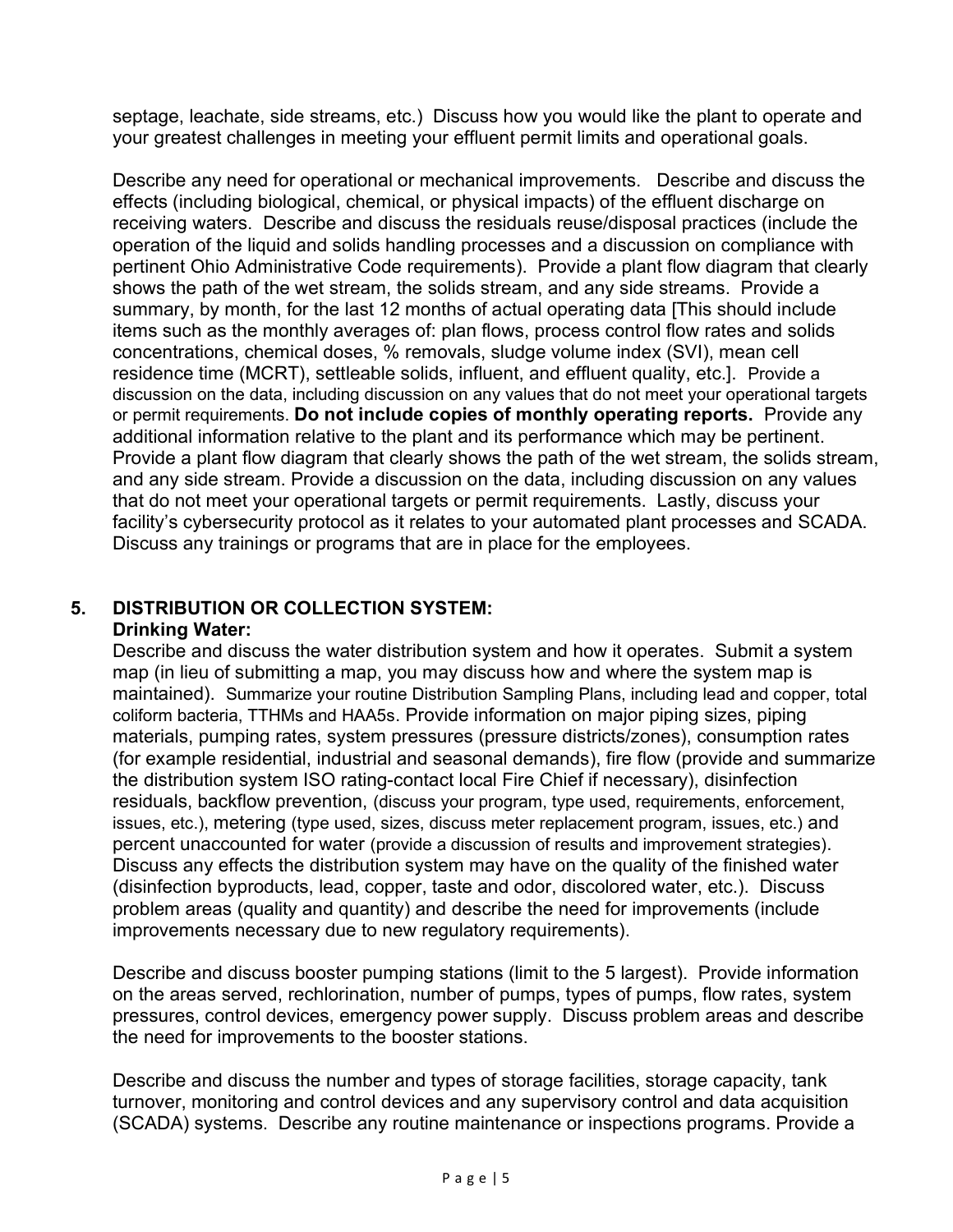septage, leachate, side streams, etc.) Discuss how you would like the plant to operate and your greatest challenges in meeting your effluent permit limits and operational goals.

Describe any need for operational or mechanical improvements. Describe and discuss the effects (including biological, chemical, or physical impacts) of the effluent discharge on receiving waters. Describe and discuss the residuals reuse/disposal practices (include the operation of the liquid and solids handling processes and a discussion on compliance with pertinent Ohio Administrative Code requirements). Provide a plant flow diagram that clearly shows the path of the wet stream, the solids stream, and any side streams. Provide a summary, by month, for the last 12 months of actual operating data [This should include items such as the monthly averages of: plan flows, process control flow rates and solids concentrations, chemical doses, % removals, sludge volume index (SVI), mean cell residence time (MCRT), settleable solids, influent, and effluent quality, etc.]. Provide a discussion on the data, including discussion on any values that do not meet your operational targets or permit requirements. Do not include copies of monthly operating reports. Provide any additional information relative to the plant and its performance which may be pertinent. Provide a plant flow diagram that clearly shows the path of the wet stream, the solids stream, and any side stream. Provide a discussion on the data, including discussion on any values that do not meet your operational targets or permit requirements. Lastly, discuss your facility's cybersecurity protocol as it relates to your automated plant processes and SCADA. Discuss any trainings or programs that are in place for the employees.

# 5. DISTRIBUTION OR COLLECTION SYSTEM:

#### Drinking Water:

Describe and discuss the water distribution system and how it operates. Submit a system map (in lieu of submitting a map, you may discuss how and where the system map is maintained). Summarize your routine Distribution Sampling Plans, including lead and copper, total coliform bacteria, TTHMs and HAA5s. Provide information on major piping sizes, piping materials, pumping rates, system pressures (pressure districts/zones), consumption rates (for example residential, industrial and seasonal demands), fire flow (provide and summarize the distribution system ISO rating-contact local Fire Chief if necessary), disinfection residuals, backflow prevention, (discuss your program, type used, requirements, enforcement, issues, etc.), metering (type used, sizes, discuss meter replacement program, issues, etc.) and percent unaccounted for water (provide a discussion of results and improvement strategies). Discuss any effects the distribution system may have on the quality of the finished water (disinfection byproducts, lead, copper, taste and odor, discolored water, etc.). Discuss problem areas (quality and quantity) and describe the need for improvements (include improvements necessary due to new regulatory requirements).

Describe and discuss booster pumping stations (limit to the 5 largest). Provide information on the areas served, rechlorination, number of pumps, types of pumps, flow rates, system pressures, control devices, emergency power supply. Discuss problem areas and describe the need for improvements to the booster stations.

Describe and discuss the number and types of storage facilities, storage capacity, tank turnover, monitoring and control devices and any supervisory control and data acquisition (SCADA) systems. Describe any routine maintenance or inspections programs. Provide a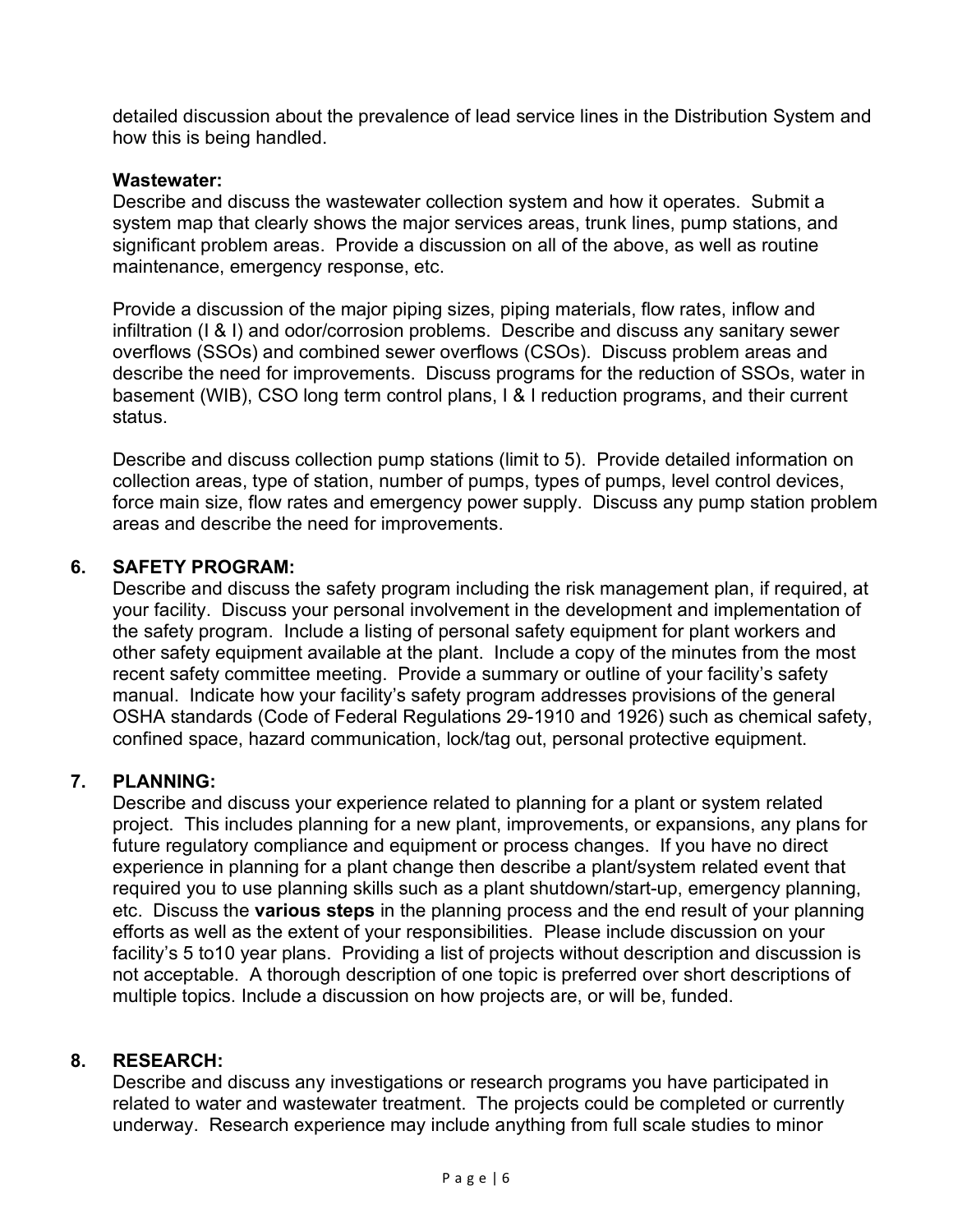detailed discussion about the prevalence of lead service lines in the Distribution System and how this is being handled.

#### Wastewater:

Describe and discuss the wastewater collection system and how it operates. Submit a system map that clearly shows the major services areas, trunk lines, pump stations, and significant problem areas. Provide a discussion on all of the above, as well as routine maintenance, emergency response, etc.

Provide a discussion of the major piping sizes, piping materials, flow rates, inflow and infiltration (I & I) and odor/corrosion problems. Describe and discuss any sanitary sewer overflows (SSOs) and combined sewer overflows (CSOs). Discuss problem areas and describe the need for improvements. Discuss programs for the reduction of SSOs, water in basement (WIB), CSO long term control plans, I & I reduction programs, and their current status.

Describe and discuss collection pump stations (limit to 5). Provide detailed information on collection areas, type of station, number of pumps, types of pumps, level control devices, force main size, flow rates and emergency power supply. Discuss any pump station problem areas and describe the need for improvements.

## 6. SAFETY PROGRAM:

Describe and discuss the safety program including the risk management plan, if required, at your facility. Discuss your personal involvement in the development and implementation of the safety program. Include a listing of personal safety equipment for plant workers and other safety equipment available at the plant. Include a copy of the minutes from the most recent safety committee meeting. Provide a summary or outline of your facility's safety manual. Indicate how your facility's safety program addresses provisions of the general OSHA standards (Code of Federal Regulations 29-1910 and 1926) such as chemical safety, confined space, hazard communication, lock/tag out, personal protective equipment.

## 7. PLANNING:

Describe and discuss your experience related to planning for a plant or system related project. This includes planning for a new plant, improvements, or expansions, any plans for future regulatory compliance and equipment or process changes. If you have no direct experience in planning for a plant change then describe a plant/system related event that required you to use planning skills such as a plant shutdown/start-up, emergency planning, etc. Discuss the various steps in the planning process and the end result of your planning efforts as well as the extent of your responsibilities. Please include discussion on your facility's 5 to10 year plans. Providing a list of projects without description and discussion is not acceptable. A thorough description of one topic is preferred over short descriptions of multiple topics. Include a discussion on how projects are, or will be, funded.

## 8. RESEARCH:

Describe and discuss any investigations or research programs you have participated in related to water and wastewater treatment. The projects could be completed or currently underway. Research experience may include anything from full scale studies to minor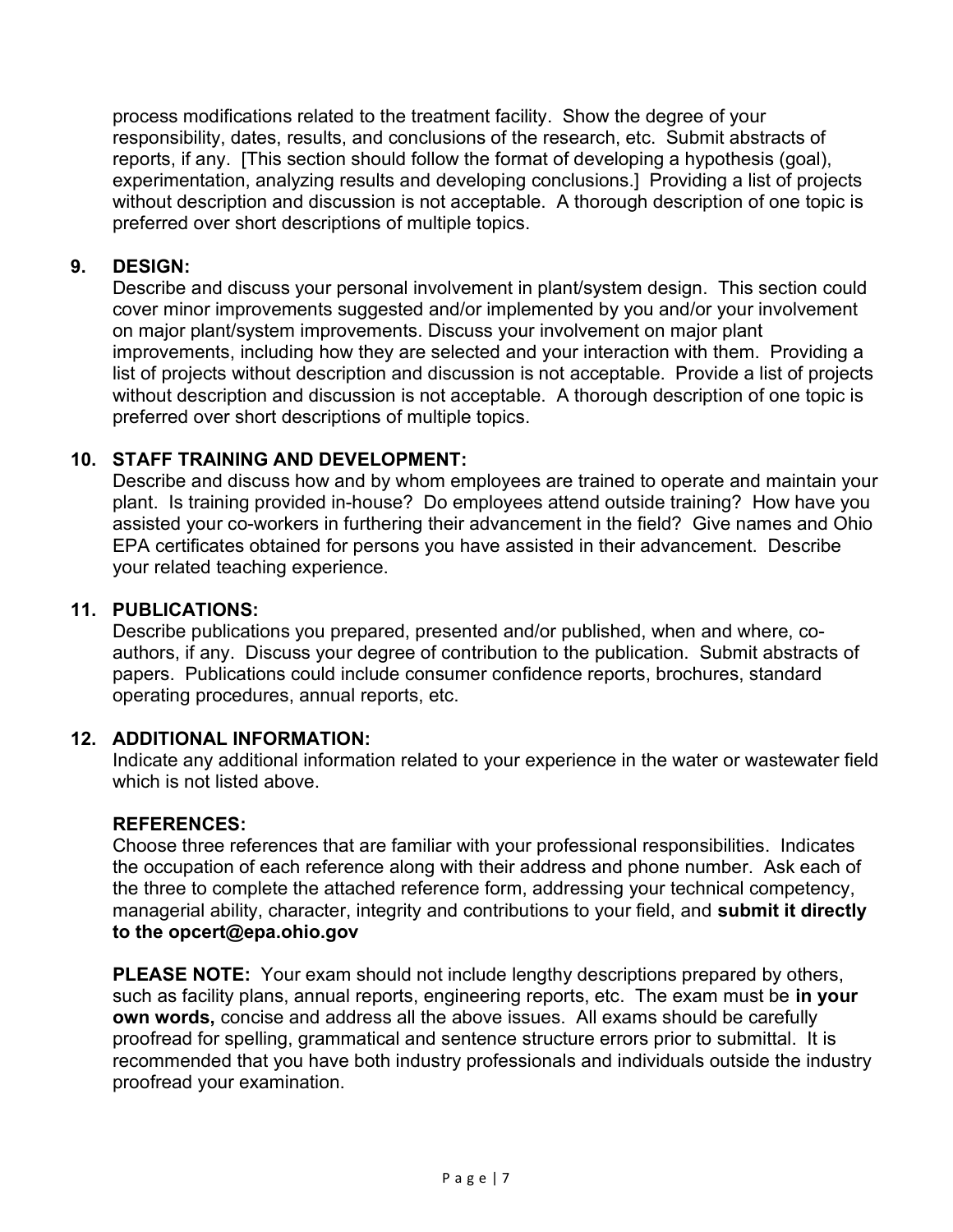process modifications related to the treatment facility. Show the degree of your responsibility, dates, results, and conclusions of the research, etc. Submit abstracts of reports, if any. [This section should follow the format of developing a hypothesis (goal), experimentation, analyzing results and developing conclusions.] Providing a list of projects without description and discussion is not acceptable. A thorough description of one topic is preferred over short descriptions of multiple topics.

#### 9. DESIGN:

Describe and discuss your personal involvement in plant/system design. This section could cover minor improvements suggested and/or implemented by you and/or your involvement on major plant/system improvements. Discuss your involvement on major plant improvements, including how they are selected and your interaction with them. Providing a list of projects without description and discussion is not acceptable. Provide a list of projects without description and discussion is not acceptable. A thorough description of one topic is preferred over short descriptions of multiple topics.

#### 10. STAFF TRAINING AND DEVELOPMENT:

Describe and discuss how and by whom employees are trained to operate and maintain your plant. Is training provided in-house? Do employees attend outside training? How have you assisted your co-workers in furthering their advancement in the field? Give names and Ohio EPA certificates obtained for persons you have assisted in their advancement. Describe your related teaching experience.

#### 11. PUBLICATIONS:

Describe publications you prepared, presented and/or published, when and where, coauthors, if any. Discuss your degree of contribution to the publication. Submit abstracts of papers. Publications could include consumer confidence reports, brochures, standard operating procedures, annual reports, etc.

## 12. ADDITIONAL INFORMATION:

Indicate any additional information related to your experience in the water or wastewater field which is not listed above.

#### REFERENCES:

Choose three references that are familiar with your professional responsibilities. Indicates the occupation of each reference along with their address and phone number. Ask each of the three to complete the attached reference form, addressing your technical competency, managerial ability, character, integrity and contributions to your field, and submit it directly to the opcert@epa.ohio.gov

PLEASE NOTE: Your exam should not include lengthy descriptions prepared by others, such as facility plans, annual reports, engineering reports, etc. The exam must be in your own words, concise and address all the above issues. All exams should be carefully proofread for spelling, grammatical and sentence structure errors prior to submittal. It is recommended that you have both industry professionals and individuals outside the industry proofread your examination.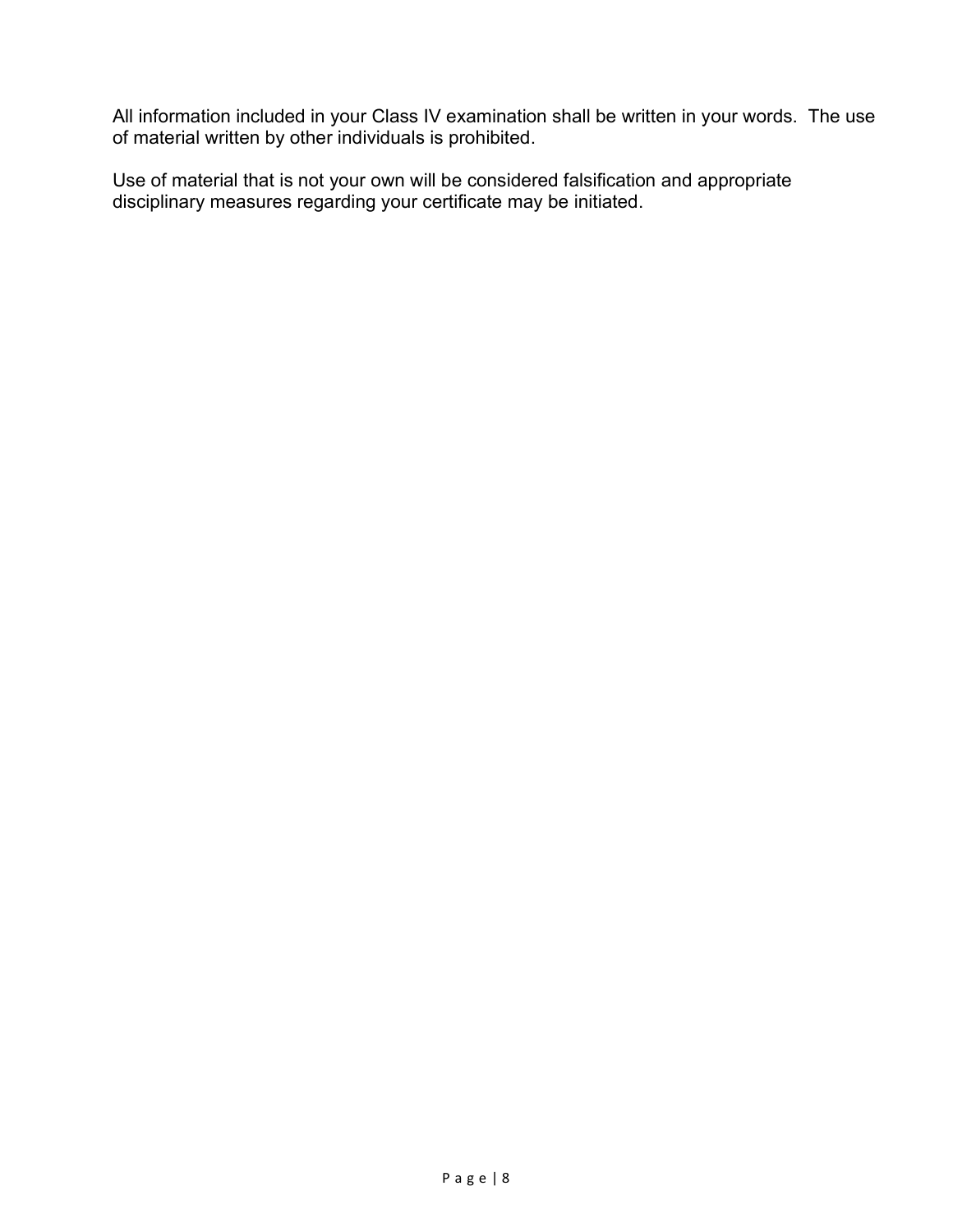All information included in your Class IV examination shall be written in your words. The use of material written by other individuals is prohibited.

Use of material that is not your own will be considered falsification and appropriate disciplinary measures regarding your certificate may be initiated.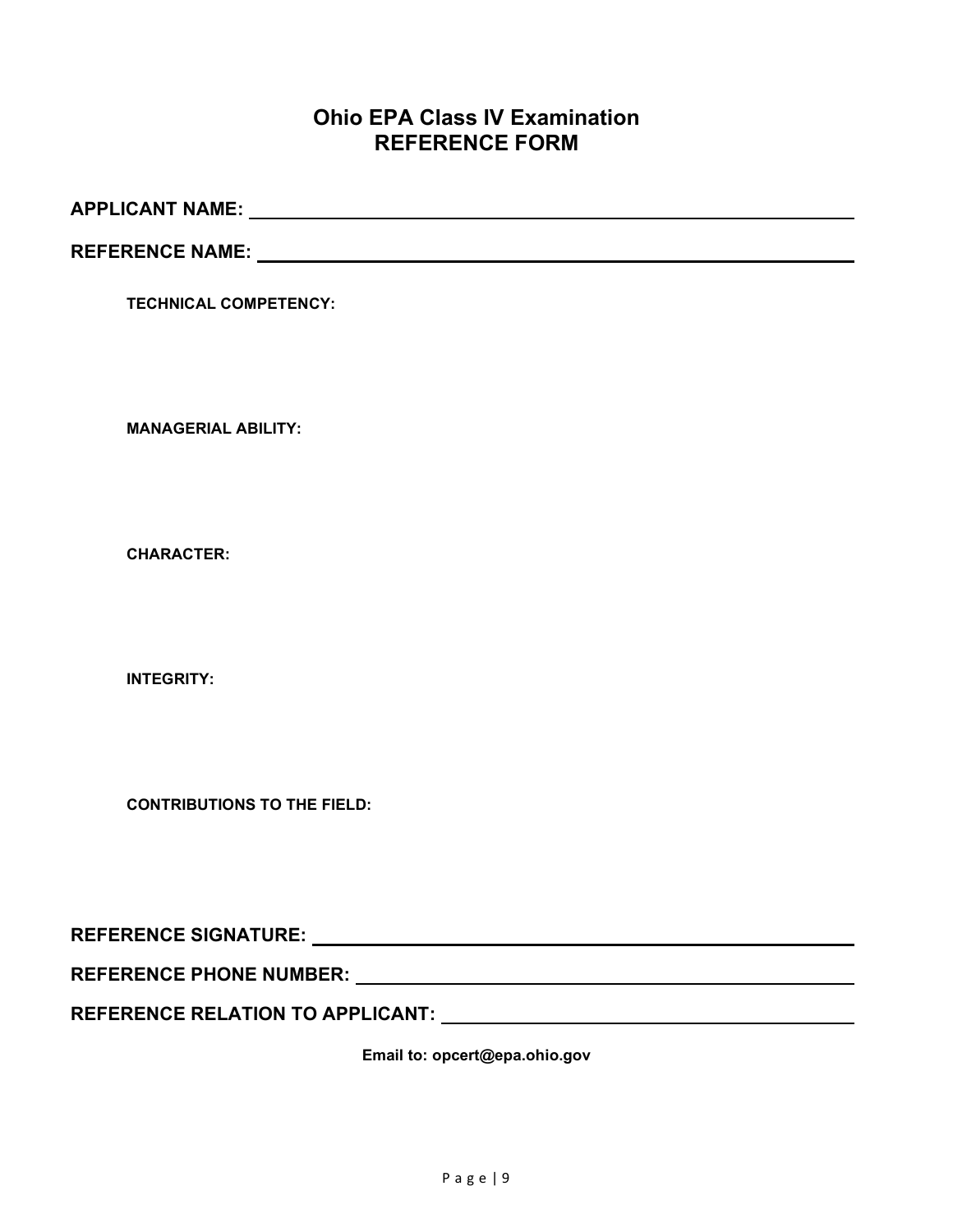## Ohio EPA Class IV Examination REFERENCE FORM

APPLICANT NAME:

REFERENCE NAME:

TECHNICAL COMPETENCY:

MANAGERIAL ABILITY:

CHARACTER:

INTEGRITY:

CONTRIBUTIONS TO THE FIELD:

REFERENCE SIGNATURE:

REFERENCE PHONE NUMBER: New York State State State State State State State State State State State State State State State State State State State State State State State State State State State State State State State Sta

REFERENCE RELATION TO APPLICANT:

Email to: opcert@epa.ohio.gov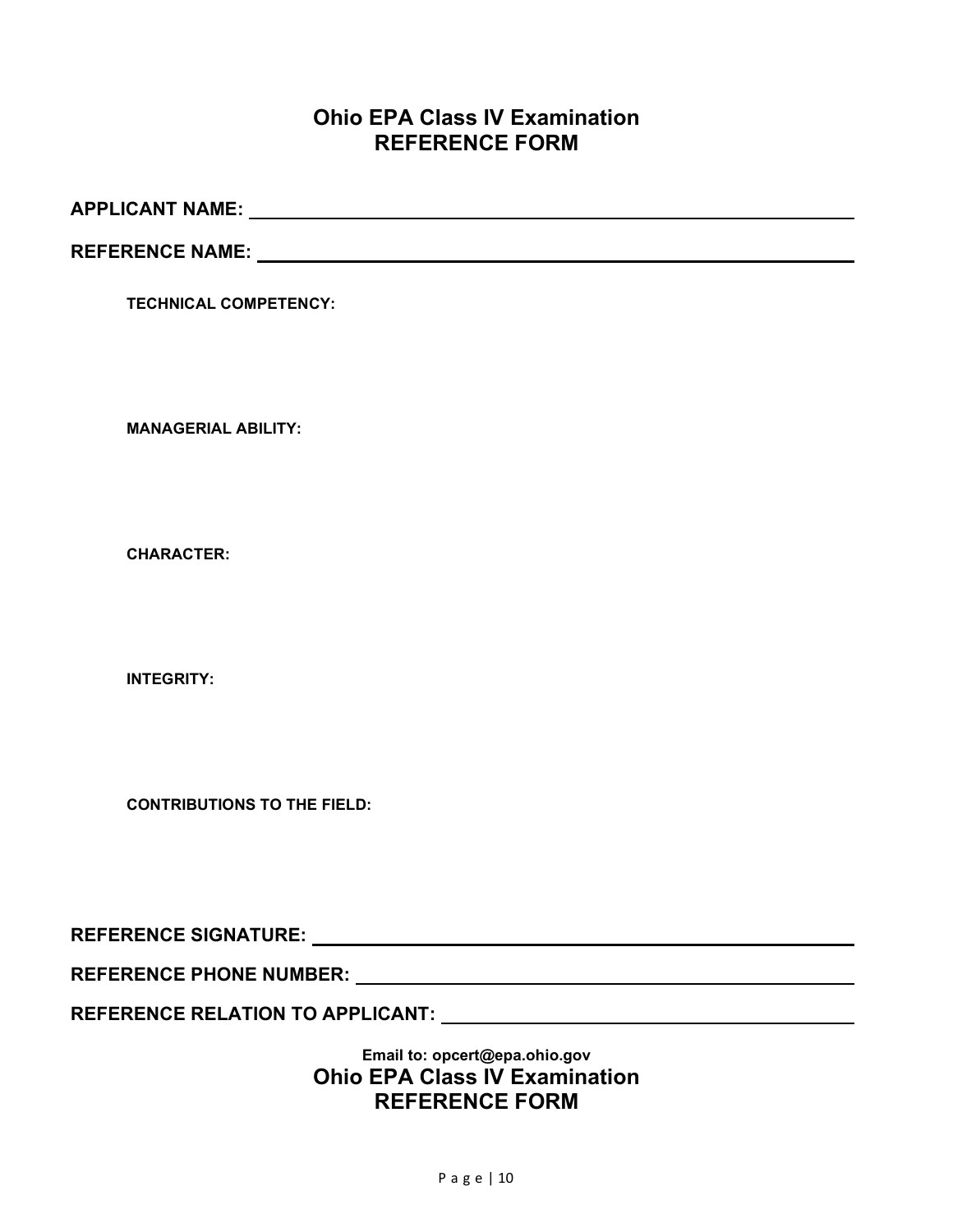## Ohio EPA Class IV Examination REFERENCE FORM

APPLICANT NAME:

REFERENCE NAME:

TECHNICAL COMPETENCY:

MANAGERIAL ABILITY:

CHARACTER:

INTEGRITY:

CONTRIBUTIONS TO THE FIELD:

REFERENCE SIGNATURE:

REFERENCE PHONE NUMBER:

REFERENCE RELATION TO APPLICANT: Network and the contract of the contract of the contract of the contract of the contract of the contract of the contract of the contract of the contract of the contract of the contract of t

Email to: opcert@epa.ohio.gov Ohio EPA Class IV Examination REFERENCE FORM

P a g e | 10